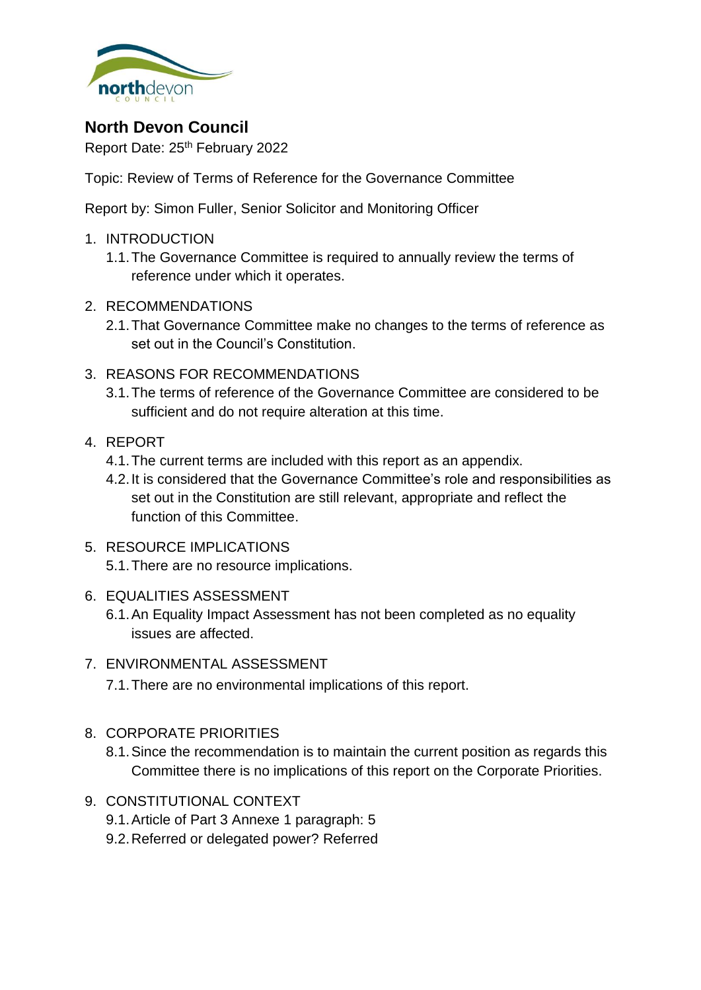

# **North Devon Council**

Report Date: 25<sup>th</sup> February 2022

Topic: Review of Terms of Reference for the Governance Committee

Report by: Simon Fuller, Senior Solicitor and Monitoring Officer

- 1. INTRODUCTION
	- 1.1.The Governance Committee is required to annually review the terms of reference under which it operates.
- 2. RECOMMENDATIONS
	- 2.1.That Governance Committee make no changes to the terms of reference as set out in the Council's Constitution.
- 3. REASONS FOR RECOMMENDATIONS
	- 3.1.The terms of reference of the Governance Committee are considered to be sufficient and do not require alteration at this time.
- 4. REPORT
	- 4.1.The current terms are included with this report as an appendix.
	- 4.2.It is considered that the Governance Committee's role and responsibilities as set out in the Constitution are still relevant, appropriate and reflect the function of this Committee.
- 5. RESOURCE IMPLICATIONS 5.1.There are no resource implications.
- 6. EQUALITIES ASSESSMENT
	- 6.1.An Equality Impact Assessment has not been completed as no equality issues are affected.

#### 7. ENVIRONMENTAL ASSESSMENT

7.1.There are no environmental implications of this report.

- 8. CORPORATE PRIORITIES
	- 8.1.Since the recommendation is to maintain the current position as regards this Committee there is no implications of this report on the Corporate Priorities.
- 9. CONSTITUTIONAL CONTEXT
	- 9.1.Article of Part 3 Annexe 1 paragraph: 5
	- 9.2.Referred or delegated power? Referred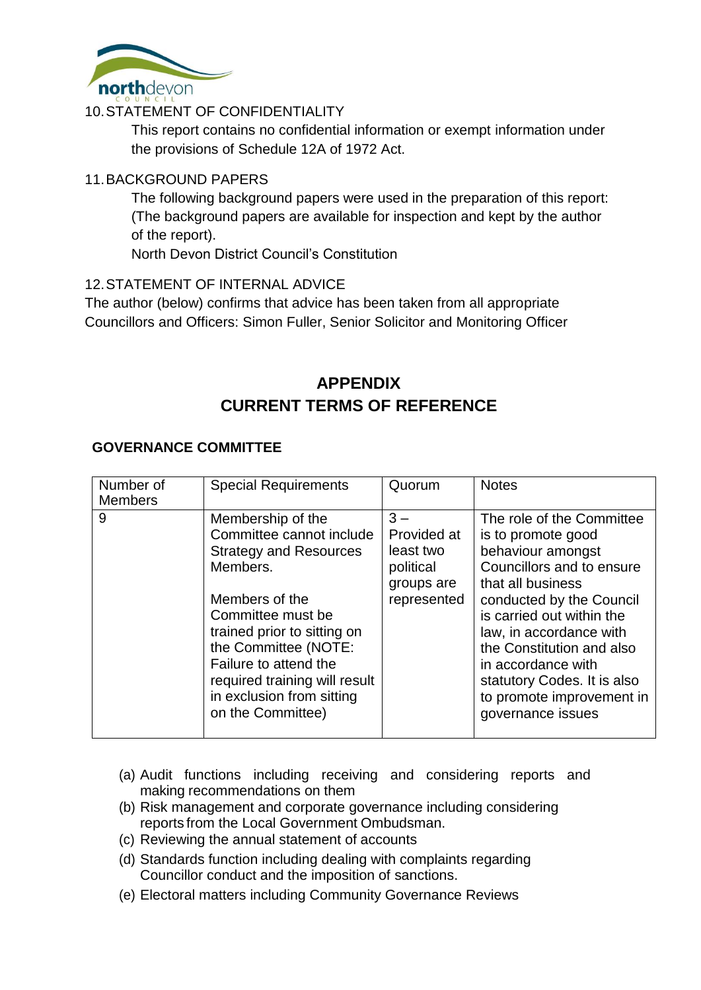

## 10.STATEMENT OF CONFIDENTIALITY

This report contains no confidential information or exempt information under the provisions of Schedule 12A of 1972 Act.

#### 11.BACKGROUND PAPERS

The following background papers were used in the preparation of this report: (The background papers are available for inspection and kept by the author of the report).

North Devon District Council's Constitution

## 12.STATEMENT OF INTERNAL ADVICE

The author (below) confirms that advice has been taken from all appropriate Councillors and Officers: Simon Fuller, Senior Solicitor and Monitoring Officer

# **APPENDIX CURRENT TERMS OF REFERENCE**

#### **GOVERNANCE COMMITTEE**

| Number of<br><b>Members</b> | <b>Special Requirements</b>                                                                                                                                                                                                                                                                          | Quorum                                                                      | <b>Notes</b>                                                                                                                                                                                                                                                                                                                                   |
|-----------------------------|------------------------------------------------------------------------------------------------------------------------------------------------------------------------------------------------------------------------------------------------------------------------------------------------------|-----------------------------------------------------------------------------|------------------------------------------------------------------------------------------------------------------------------------------------------------------------------------------------------------------------------------------------------------------------------------------------------------------------------------------------|
| 9                           | Membership of the<br>Committee cannot include<br><b>Strategy and Resources</b><br>Members.<br>Members of the<br>Committee must be<br>trained prior to sitting on<br>the Committee (NOTE:<br>Failure to attend the<br>required training will result<br>in exclusion from sitting<br>on the Committee) | $3 -$<br>Provided at<br>least two<br>political<br>groups are<br>represented | The role of the Committee<br>is to promote good<br>behaviour amongst<br>Councillors and to ensure<br>that all business<br>conducted by the Council<br>is carried out within the<br>law, in accordance with<br>the Constitution and also<br>in accordance with<br>statutory Codes. It is also<br>to promote improvement in<br>governance issues |

- (a) Audit functions including receiving and considering reports and making recommendations on them
- (b) Risk management and corporate governance including considering reports from the Local Government Ombudsman.
- (c) Reviewing the annual statement of accounts
- (d) Standards function including dealing with complaints regarding Councillor conduct and the imposition of sanctions.
- (e) Electoral matters including Community Governance Reviews